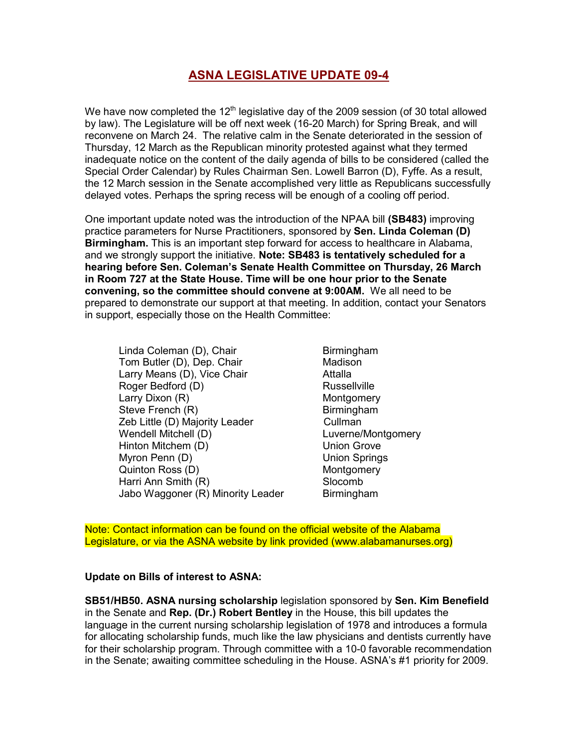## **ASNA LEGISLATIVE UPDATE 09-4**

We have now completed the  $12<sup>th</sup>$  legislative day of the 2009 session (of 30 total allowed by law). The Legislature will be off next week (16-20 March) for Spring Break, and will reconvene on March 24. The relative calm in the Senate deteriorated in the session of Thursday, 12 March as the Republican minority protested against what they termed inadequate notice on the content of the daily agenda of bills to be considered (called the Special Order Calendar) by Rules Chairman Sen. Lowell Barron (D), Fyffe. As a result, the 12 March session in the Senate accomplished very little as Republicans successfully delayed votes. Perhaps the spring recess will be enough of a cooling off period.

One important update noted was the introduction of the NPAA bill **(SB483)** improving practice parameters for Nurse Practitioners, sponsored by **Sen. Linda Coleman (D) Birmingham.** This is an important step forward for access to healthcare in Alabama, and we strongly support the initiative. **Note: SB483 is tentatively scheduled for a hearing before Sen. Coleman's Senate Health Committee on Thursday, 26 March in Room 727 at the State House. Time will be one hour prior to the Senate convening, so the committee should convene at 9:00AM.** We all need to be prepared to demonstrate our support at that meeting. In addition, contact your Senators in support, especially those on the Health Committee:

- Linda Coleman (D), Chair Birmingham Tom Butler (D), Dep. Chair Madison Larry Means (D), Vice Chair **Attalla** Roger Bedford (D) Russellville Larry Dixon (R) Montgomery Steve French (R) Birmingham Zeb Little (D) Majority Leader Cullman Wendell Mitchell (D) Luverne/Montgomery Hinton Mitchem (D) and Dunion Grove Myron Penn (D) and the Union Springs Quinton Ross (D) Montgomery Harri Ann Smith (R) Slocomb Jabo Waggoner (R) Minority Leader Birmingham
	-

Note: Contact information can be found on the official website of the Alabama Legislature, or via the ASNA website by link provided (www.alabamanurses.org)

## **Update on Bills of interest to ASNA:**

**SB51/HB50. ASNA nursing scholarship** legislation sponsored by **Sen. Kim Benefield** in the Senate and **Rep. (Dr.) Robert Bentley** in the House, this bill updates the language in the current nursing scholarship legislation of 1978 and introduces a formula for allocating scholarship funds, much like the law physicians and dentists currently have for their scholarship program. Through committee with a 10-0 favorable recommendation in the Senate; awaiting committee scheduling in the House. ASNA's #1 priority for 2009.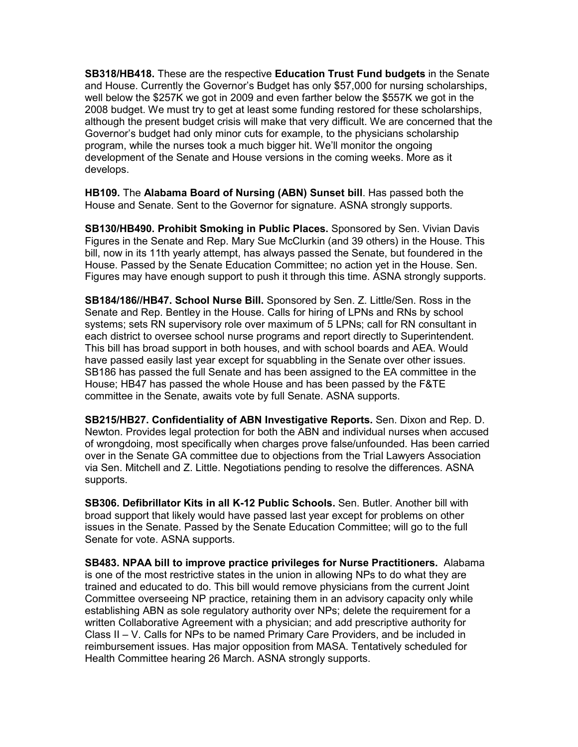**SB318/HB418.** These are the respective **Education Trust Fund budgets** in the Senate and House. Currently the Governor's Budget has only \$57,000 for nursing scholarships, well below the \$257K we got in 2009 and even farther below the \$557K we got in the 2008 budget. We must try to get at least some funding restored for these scholarships, although the present budget crisis will make that very difficult. We are concerned that the Governor's budget had only minor cuts for example, to the physicians scholarship program, while the nurses took a much bigger hit. We'll monitor the ongoing development of the Senate and House versions in the coming weeks. More as it develops.

**HB109.** The **Alabama Board of Nursing (ABN) Sunset bill**. Has passed both the House and Senate. Sent to the Governor for signature. ASNA strongly supports.

**SB130/HB490. Prohibit Smoking in Public Places.** Sponsored by Sen. Vivian Davis Figures in the Senate and Rep. Mary Sue McClurkin (and 39 others) in the House. This bill, now in its 11th yearly attempt, has always passed the Senate, but foundered in the House. Passed by the Senate Education Committee; no action yet in the House. Sen. Figures may have enough support to push it through this time. ASNA strongly supports.

**SB184/186//HB47. School Nurse Bill.** Sponsored by Sen. Z. Little/Sen. Ross in the Senate and Rep. Bentley in the House. Calls for hiring of LPNs and RNs by school systems; sets RN supervisory role over maximum of 5 LPNs; call for RN consultant in each district to oversee school nurse programs and report directly to Superintendent. This bill has broad support in both houses, and with school boards and AEA. Would have passed easily last year except for squabbling in the Senate over other issues. SB186 has passed the full Senate and has been assigned to the EA committee in the House; HB47 has passed the whole House and has been passed by the F&TE committee in the Senate, awaits vote by full Senate. ASNA supports.

**SB215/HB27. Confidentiality of ABN Investigative Reports.** Sen. Dixon and Rep. D. Newton. Provides legal protection for both the ABN and individual nurses when accused of wrongdoing, most specifically when charges prove false/unfounded. Has been carried over in the Senate GA committee due to objections from the Trial Lawyers Association via Sen. Mitchell and Z. Little. Negotiations pending to resolve the differences. ASNA supports.

**SB306. Defibrillator Kits in all K-12 Public Schools.** Sen. Butler. Another bill with broad support that likely would have passed last year except for problems on other issues in the Senate. Passed by the Senate Education Committee; will go to the full Senate for vote. ASNA supports.

**SB483. NPAA bill to improve practice privileges for Nurse Practitioners.** Alabama is one of the most restrictive states in the union in allowing NPs to do what they are trained and educated to do. This bill would remove physicians from the current Joint Committee overseeing NP practice, retaining them in an advisory capacity only while establishing ABN as sole regulatory authority over NPs; delete the requirement for a written Collaborative Agreement with a physician; and add prescriptive authority for Class II – V. Calls for NPs to be named Primary Care Providers, and be included in reimbursement issues. Has major opposition from MASA. Tentatively scheduled for Health Committee hearing 26 March. ASNA strongly supports.